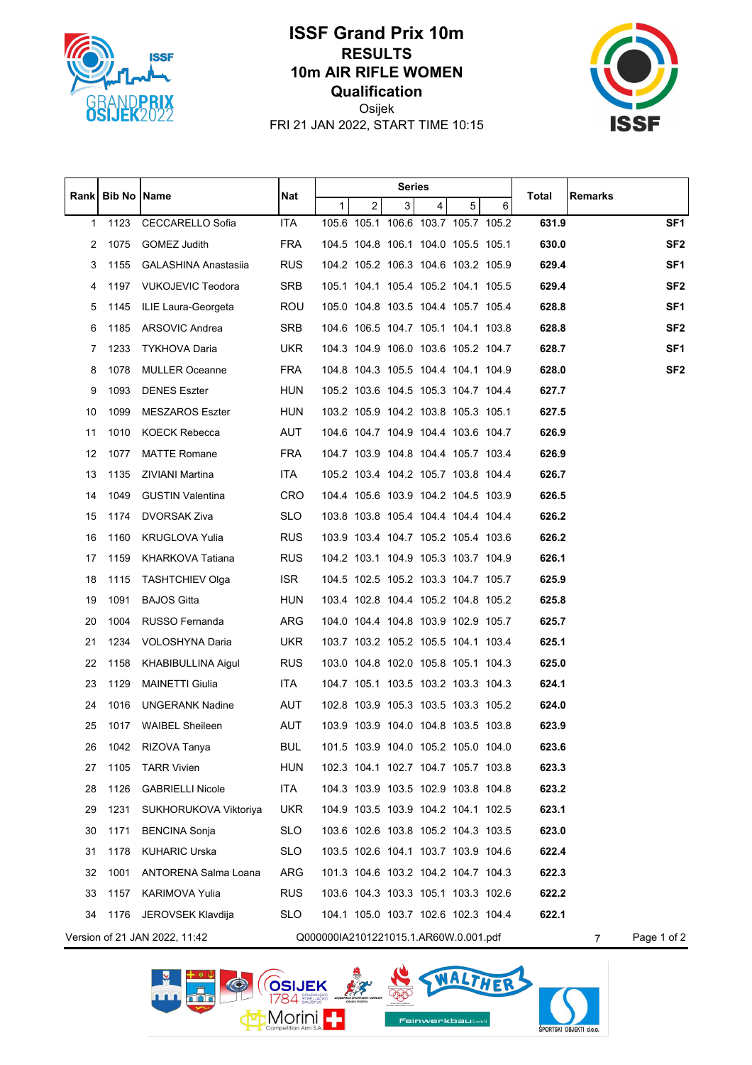

## **ISSF Grand Prix 10m RESULTS 10m AIR RIFLE WOMEN Qualification**



Osijek FRI 21 JAN 2022, START TIME 10:15

|       | <b>Bib No</b> | Name                          | <b>Nat</b> | <b>Series</b>                         |   |   |                                     |   |   |       |                |                 |
|-------|---------------|-------------------------------|------------|---------------------------------------|---|---|-------------------------------------|---|---|-------|----------------|-----------------|
| Rankl |               |                               |            | 1                                     | 2 | 3 | $\overline{4}$                      | 5 | 6 | Total | Remarks        |                 |
| 1     | 1123          | CECCARELLO Sofia              | <b>ITA</b> |                                       |   |   | 105.6 105.1 106.6 103.7 105.7 105.2 |   |   | 631.9 |                | SF <sub>1</sub> |
| 2     | 1075          | GOMEZ Judith                  | <b>FRA</b> |                                       |   |   | 104.5 104.8 106.1 104.0 105.5 105.1 |   |   | 630.0 |                | SF <sub>2</sub> |
| 3     | 1155          | <b>GALASHINA Anastasija</b>   | <b>RUS</b> |                                       |   |   | 104.2 105.2 106.3 104.6 103.2 105.9 |   |   | 629.4 |                | SF <sub>1</sub> |
| 4     | 1197          | <b>VUKOJEVIC Teodora</b>      | SRB        |                                       |   |   | 105.1 104.1 105.4 105.2 104.1 105.5 |   |   | 629.4 |                | SF <sub>2</sub> |
| 5     | 1145          | ILIE Laura-Georgeta           | <b>ROU</b> |                                       |   |   | 105.0 104.8 103.5 104.4 105.7 105.4 |   |   | 628.8 |                | SF <sub>1</sub> |
| 6     | 1185          | ARSOVIC Andrea                | SRB        |                                       |   |   | 104.6 106.5 104.7 105.1 104.1 103.8 |   |   | 628.8 |                | SF <sub>2</sub> |
| 7     | 1233          | TYKHOVA Daria                 | <b>UKR</b> |                                       |   |   | 104.3 104.9 106.0 103.6 105.2 104.7 |   |   | 628.7 |                | SF <sub>1</sub> |
| 8     | 1078          | <b>MULLER Oceanne</b>         | <b>FRA</b> |                                       |   |   | 104.8 104.3 105.5 104.4 104.1 104.9 |   |   | 628.0 |                | SF <sub>2</sub> |
| 9     | 1093          | <b>DENES Eszter</b>           | <b>HUN</b> |                                       |   |   | 105.2 103.6 104.5 105.3 104.7 104.4 |   |   | 627.7 |                |                 |
| 10    | 1099          | <b>MESZAROS Eszter</b>        | <b>HUN</b> |                                       |   |   | 103.2 105.9 104.2 103.8 105.3 105.1 |   |   | 627.5 |                |                 |
| 11    | 1010          | <b>KOECK Rebecca</b>          | <b>AUT</b> |                                       |   |   | 104.6 104.7 104.9 104.4 103.6 104.7 |   |   | 626.9 |                |                 |
| 12    | 1077          | <b>MATTE Romane</b>           | <b>FRA</b> |                                       |   |   | 104.7 103.9 104.8 104.4 105.7 103.4 |   |   | 626.9 |                |                 |
| 13    | 1135          | ZIVIANI Martina               | <b>ITA</b> |                                       |   |   | 105.2 103.4 104.2 105.7 103.8 104.4 |   |   | 626.7 |                |                 |
| 14    | 1049          | <b>GUSTIN Valentina</b>       | <b>CRO</b> |                                       |   |   | 104.4 105.6 103.9 104.2 104.5 103.9 |   |   | 626.5 |                |                 |
| 15    | 1174          | DVORSAK Ziva                  | <b>SLO</b> |                                       |   |   | 103.8 103.8 105.4 104.4 104.4 104.4 |   |   | 626.2 |                |                 |
| 16    | 1160          | <b>KRUGLOVA Yulia</b>         | <b>RUS</b> |                                       |   |   | 103.9 103.4 104.7 105.2 105.4 103.6 |   |   | 626.2 |                |                 |
| 17    | 1159          | KHARKOVA Tatiana              | <b>RUS</b> |                                       |   |   | 104.2 103.1 104.9 105.3 103.7 104.9 |   |   | 626.1 |                |                 |
| 18    | 1115          | <b>TASHTCHIEV Olga</b>        | <b>ISR</b> |                                       |   |   | 104.5 102.5 105.2 103.3 104.7 105.7 |   |   | 625.9 |                |                 |
| 19    | 1091          | <b>BAJOS Gitta</b>            | HUN        |                                       |   |   | 103.4 102.8 104.4 105.2 104.8 105.2 |   |   | 625.8 |                |                 |
| 20    | 1004          | RUSSO Fernanda                | ARG        |                                       |   |   | 104.0 104.4 104.8 103.9 102.9 105.7 |   |   | 625.7 |                |                 |
| 21    | 1234          | VOLOSHYNA Daria               | <b>UKR</b> |                                       |   |   | 103.7 103.2 105.2 105.5 104.1 103.4 |   |   | 625.1 |                |                 |
| 22    | 1158          | KHABIBULLINA Aigul            | <b>RUS</b> |                                       |   |   | 103.0 104.8 102.0 105.8 105.1 104.3 |   |   | 625.0 |                |                 |
| 23    | 1129          | <b>MAINETTI Giulia</b>        | <b>ITA</b> |                                       |   |   | 104.7 105.1 103.5 103.2 103.3 104.3 |   |   | 624.1 |                |                 |
| 24    | 1016          | <b>UNGERANK Nadine</b>        | AUT        |                                       |   |   | 102.8 103.9 105.3 103.5 103.3 105.2 |   |   | 624.0 |                |                 |
| 25    | 1017          | <b>WAIBEL Sheileen</b>        | AUT        |                                       |   |   | 103.9 103.9 104.0 104.8 103.5 103.8 |   |   | 623.9 |                |                 |
| 26    | 1042          | RIZOVA Tanya                  | <b>BUL</b> |                                       |   |   | 101.5 103.9 104.0 105.2 105.0 104.0 |   |   | 623.6 |                |                 |
| 27    | 1105          | <b>TARR Vivien</b>            | HUN        |                                       |   |   | 102.3 104.1 102.7 104.7 105.7 103.8 |   |   | 623.3 |                |                 |
| 28    | 1126          | <b>GABRIELLI Nicole</b>       | <b>ITA</b> |                                       |   |   | 104.3 103.9 103.5 102.9 103.8 104.8 |   |   | 623.2 |                |                 |
| 29    | 1231          | SUKHORUKOVA Viktoriya         | <b>UKR</b> |                                       |   |   | 104.9 103.5 103.9 104.2 104.1 102.5 |   |   | 623.1 |                |                 |
| 30    | 1171          | <b>BENCINA Sonja</b>          | <b>SLO</b> |                                       |   |   | 103.6 102.6 103.8 105.2 104.3 103.5 |   |   | 623.0 |                |                 |
| 31    | 1178          | <b>KUHARIC Urska</b>          | <b>SLO</b> |                                       |   |   | 103.5 102.6 104.1 103.7 103.9 104.6 |   |   | 622.4 |                |                 |
| 32    | 1001          | ANTORENA Salma Loana          | ARG        |                                       |   |   | 101.3 104.6 103.2 104.2 104.7 104.3 |   |   | 622.3 |                |                 |
| 33    | 1157          | <b>KARIMOVA Yulia</b>         | <b>RUS</b> |                                       |   |   | 103.6 104.3 103.3 105.1 103.3 102.6 |   |   | 622.2 |                |                 |
| 34    |               | 1176 JEROVSEK Klavdija        | <b>SLO</b> |                                       |   |   | 104.1 105.0 103.7 102.6 102.3 104.4 |   |   | 622.1 |                |                 |
|       |               | Version of 21 JAN 2022, 11:42 |            | Q000000IA2101221015.1.AR60W.0.001.pdf |   |   |                                     |   |   |       | $\overline{7}$ | Page 1 of 2     |